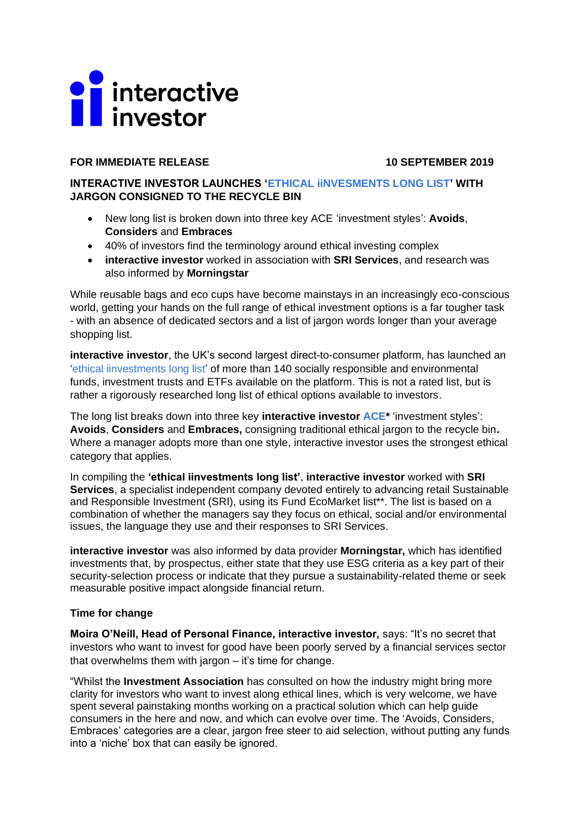# **T** interactive

# **FOR IMMEDIATE RELEASE 10 SEPTEMBER 2019**

# **INTERACTIVE INVESTOR LAUNCHES ['ETHICAL iiNVESMENTS](https://www.ii.co.uk/ethical-investing) LONG LIST' WITH JARGON CONSIGNED TO THE RECYCLE BIN**

- New long list is broken down into three key ACE 'investment styles': **Avoids**, **Considers** and **Embraces**
- 40% of investors find the terminology around ethical investing complex
- **interactive investor** worked in association with **SRI Services**, and research was also informed by **Morningstar**

While reusable bags and eco cups have become mainstays in an increasingly eco-conscious world, getting your hands on the full range of ethical investment options is a far tougher task - with an absence of dedicated sectors and a list of jargon words longer than your average shopping list.

**interactive investor**, the UK's second largest direct-to-consumer platform, has launched an ['ethical iinvestments](https://www.ii.co.uk/ethical-investing) long list' of more than 140 socially responsible and environmental funds, investment trusts and ETFs available on the platform. This is not a rated list, but is rather a rigorously researched long list of ethical options available to investors.

The long list breaks down into three key **interactive investor [ACE\\*](https://www.ii.co.uk/ethical-investments-table-definitions#ii-ethical)** 'investment styles': **Avoids**, **Considers** and **Embraces,** consigning traditional ethical jargon to the recycle bin**.** Where a manager adopts more than one style, interactive investor uses the strongest ethical category that applies.

In compiling the **'ethical iinvestments long list'**, **interactive investor** worked with **SRI Services**, a specialist independent company devoted entirely to advancing retail Sustainable and Responsible Investment (SRI), using its Fund EcoMarket list\*\*. The list is based on a combination of whether the managers say they focus on ethical, social and/or environmental issues, the language they use and their responses to SRI Services.

**interactive investor** was also informed by data provider **Morningstar,** which has identified investments that, by prospectus, either state that they use ESG criteria as a key part of their security-selection process or indicate that they pursue a sustainability-related theme or seek measurable positive impact alongside financial return.

## **Time for change**

**Moira O'Neill, Head of Personal Finance, interactive investor,** says: "It's no secret that investors who want to invest for good have been poorly served by a financial services sector that overwhelms them with jargon – it's time for change.

"Whilst the **Investment Association** has consulted on how the industry might bring more clarity for investors who want to invest along ethical lines, which is very welcome, we have spent several painstaking months working on a practical solution which can help guide consumers in the here and now, and which can evolve over time. The 'Avoids, Considers, Embraces' categories are a clear, jargon free steer to aid selection, without putting any funds into a 'niche' box that can easily be ignored.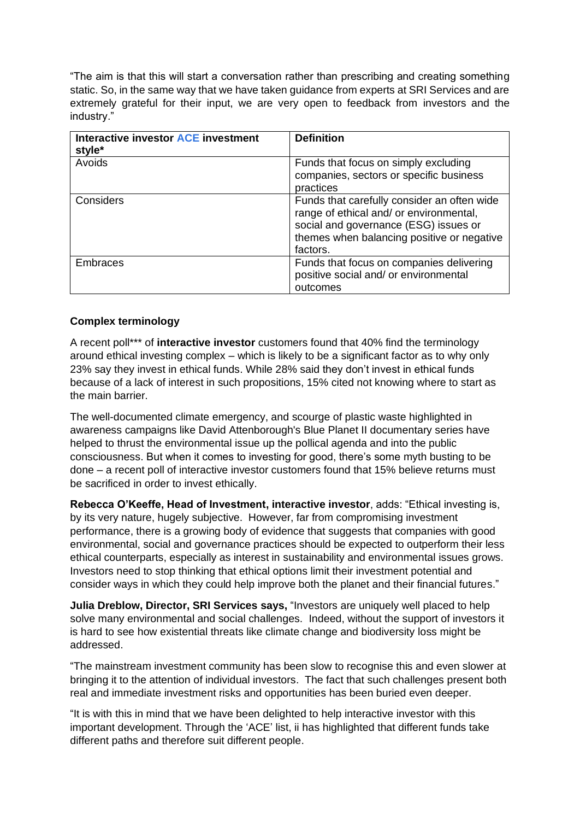"The aim is that this will start a conversation rather than prescribing and creating something static. So, in the same way that we have taken guidance from experts at SRI Services and are extremely grateful for their input, we are very open to feedback from investors and the industry."

| Interactive investor ACE investment<br>style* | <b>Definition</b>                                                                                                                                                                         |
|-----------------------------------------------|-------------------------------------------------------------------------------------------------------------------------------------------------------------------------------------------|
| Avoids                                        | Funds that focus on simply excluding<br>companies, sectors or specific business<br>practices                                                                                              |
| Considers                                     | Funds that carefully consider an often wide<br>range of ethical and/ or environmental,<br>social and governance (ESG) issues or<br>themes when balancing positive or negative<br>factors. |
| Embraces                                      | Funds that focus on companies delivering<br>positive social and/ or environmental<br>outcomes                                                                                             |

# **Complex terminology**

A recent poll\*\*\* of **interactive investor** customers found that 40% find the terminology around ethical investing complex – which is likely to be a significant factor as to why only 23% say they invest in ethical funds. While 28% said they don't invest in ethical funds because of a lack of interest in such propositions, 15% cited not knowing where to start as the main barrier.

The well-documented climate emergency, and scourge of plastic waste highlighted in awareness campaigns like David Attenborough's Blue Planet II documentary series have helped to thrust the environmental issue up the pollical agenda and into the public consciousness. But when it comes to investing for good, there's some myth busting to be done – a recent poll of interactive investor customers found that 15% believe returns must be sacrificed in order to invest ethically.

**Rebecca O'Keeffe, Head of Investment, interactive investor**, adds: "Ethical investing is, by its very nature, hugely subjective. However, far from compromising investment performance, there is a growing body of evidence that suggests that companies with good environmental, social and governance practices should be expected to outperform their less ethical counterparts, especially as interest in sustainability and environmental issues grows. Investors need to stop thinking that ethical options limit their investment potential and consider ways in which they could help improve both the planet and their financial futures."

**Julia Dreblow, Director, SRI Services says,** "Investors are uniquely well placed to help solve many environmental and social challenges. Indeed, without the support of investors it is hard to see how existential threats like climate change and biodiversity loss might be addressed.

"The mainstream investment community has been slow to recognise this and even slower at bringing it to the attention of individual investors. The fact that such challenges present both real and immediate investment risks and opportunities has been buried even deeper.

"It is with this in mind that we have been delighted to help interactive investor with this important development. Through the 'ACE' list, ii has highlighted that different funds take different paths and therefore suit different people.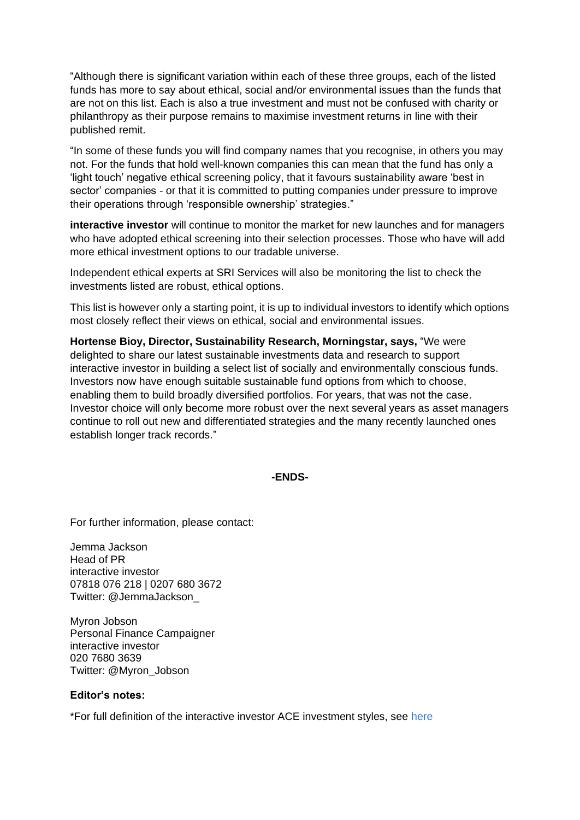"Although there is significant variation within each of these three groups, each of the listed funds has more to say about ethical, social and/or environmental issues than the funds that are not on this list. Each is also a true investment and must not be confused with charity or philanthropy as their purpose remains to maximise investment returns in line with their published remit.

"In some of these funds you will find company names that you recognise, in others you may not. For the funds that hold well-known companies this can mean that the fund has only a 'light touch' negative ethical screening policy, that it favours sustainability aware 'best in sector' companies - or that it is committed to putting companies under pressure to improve their operations through 'responsible ownership' strategies."

**interactive investor** will continue to monitor the market for new launches and for managers who have adopted ethical screening into their selection processes. Those who have will add more ethical investment options to our tradable universe.

Independent ethical experts at SRI Services will also be monitoring the list to check the investments listed are robust, ethical options.

This list is however only a starting point, it is up to individual investors to identify which options most closely reflect their views on ethical, social and environmental issues.

**Hortense Bioy, Director, Sustainability Research, Morningstar, says,** "We were delighted to share our latest sustainable investments data and research to support interactive investor in building a select list of socially and environmentally conscious funds. Investors now have enough suitable sustainable fund options from which to choose, enabling them to build broadly diversified portfolios. For years, that was not the case. Investor choice will only become more robust over the next several years as asset managers continue to roll out new and differentiated strategies and the many recently launched ones establish longer track records."

**-ENDS-**

For further information, please contact:

Jemma Jackson Head of PR interactive investor 07818 076 218 | 0207 680 3672 Twitter: @JemmaJackson\_

Myron Jobson Personal Finance Campaigner interactive investor 020 7680 3639 Twitter: @Myron\_Jobson

### **Editor's notes:**

\*For full definition of the interactive investor ACE investment styles, see [here](https://www.ii.co.uk/ethical-investments-table-definitions#ii-ethical)